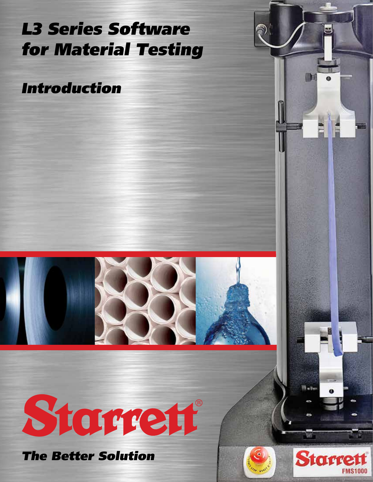# L3 Series Software for Material Testing

Introduction



# Starrent

The Better Solution





West-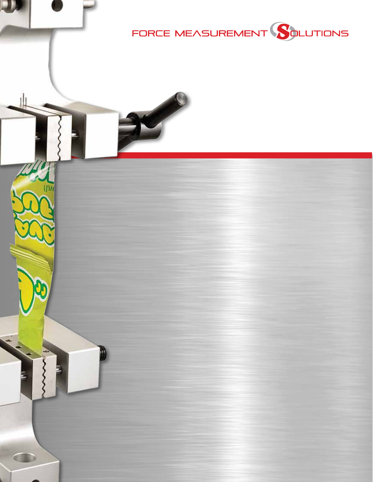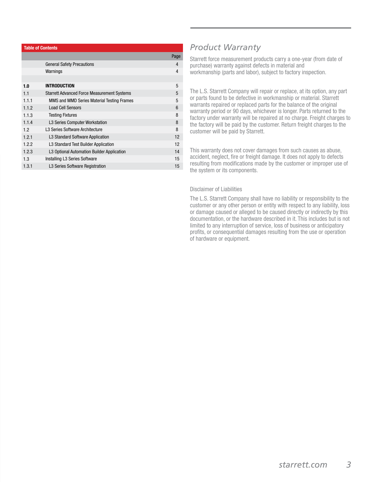|       | <b>Table of Contents</b>                           |      |
|-------|----------------------------------------------------|------|
|       |                                                    | Page |
|       | <b>General Safety Precautions</b>                  | 4    |
|       | Warnings                                           | 4    |
|       |                                                    |      |
| 1.0   | <b>INTRODUCTION</b>                                | 5    |
| 1.1   | <b>Starrett Advanced Force Measurement Systems</b> | 5    |
| 1.1.1 | MMS and MMD Series Material Testing Frames         | 5    |
| 1.1.2 | <b>Load Cell Sensors</b>                           | 6    |
| 1.1.3 | <b>Testing Fixtures</b>                            | 8    |
| 1.1.4 | L3 Series Computer Workstation                     | 8    |
| 1.2   | L3 Series Software Architecture                    | 8    |
| 1.2.1 | L3 Standard Software Application                   | 12   |
| 1.2.2 | L3 Standard Test Builder Application               | 12   |
| 1.2.3 | L3 Optional Automation Builder Application         | 14   |
| 1.3   | Installing L3 Series Software                      | 15   |
| 1.3.1 | L <sub>3</sub> Series Software Registration        | 15   |

# *Product Warranty*

Starrett force measurement products carry a one-year (from date of purchase) warranty against defects in material and workmanship (parts and labor), subject to factory inspection.

The L.S. Starrett Company will repair or replace, at its option, any part or parts found to be defective in workmanship or material. Starrett warrants repaired or replaced parts for the balance of the original warranty period or 90 days, whichever is longer. Parts returned to the factory under warranty will be repaired at no charge. Freight charges to the factory will be paid by the customer. Return freight charges to the customer will be paid by Starrett.

This warranty does not cover damages from such causes as abuse, accident, neglect, fire or freight damage. It does not apply to defects resulting from modifications made by the customer or improper use of the system or its components.

#### Disclaimer of Liabilities

The L.S. Starrett Company shall have no liability or responsibility to the customer or any other person or entity with respect to any liability, loss or damage caused or alleged to be caused directly or indirectly by this documentation, or the hardware described in it. This includes but is not limited to any interruption of service, loss of business or anticipatory profits, or consequential damages resulting from the use or operation of hardware or equipment.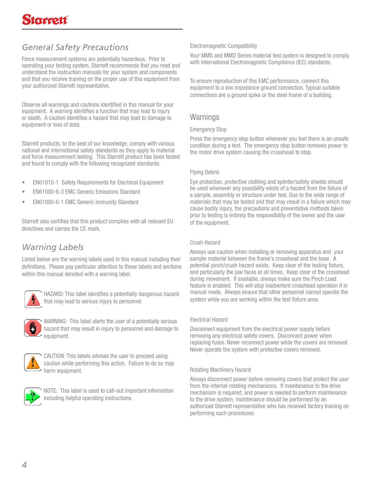# *General Safety Precautions*

Force measurement systems are potentially hazardous. Prior to operating your testing system, Starrett recommends that you read and understand the instruction manuals for your system and components and that you receive training on the proper use of this equipment from your authorized Starrett representative.

Observe all warnings and cautions identified in this manual for your equipment. A warning identifies a function that may lead to injury or death. A caution identifies a hazard that may lead to damage to equipment or loss of data.

Starrett products, to the best of our knowledge, comply with various national and international safety standards as they apply to material and force measurement testing. This Starrett product has been tested and found to comply with the following recognized standards:

- EN61010-1 Safety Requirements for Electrical Equipment
- EN61000-6-3 EMC Generic Emissions Standard
- EN61000-6-1 EMC Generic Immunity Standard

Starrett also certifies that this product complies with all relevant EU directives and carries the CE mark.

# *Warning Labels*

Listed below are the warning labels used in this manual including their definitions. Please pay particular attention to these labels and sections within this manual denoted with a warning label.



HAZARD: This label identifies a potentially dangerous hazard that may lead to serious injury to personnel.



WARNING: This label alerts the user of a potentially serious hazard that may result in injury to personnel and damage to equipment.



CAUTION: This labels advises the user to proceed using caution while performing this action. Failure to do so may harm equipment.



NOTE: This label is used to call-out important information including helpful operating instructions.

#### Electromagnetic Compatibility

Your MMS and MMD Series material test system is designed to comply with International Electromagnetic Compliance (IEC) standards.

To ensure reproduction of this EMC performance, connect this equipment to a low impedance ground connection. Typical suitable connections are a ground spike or the steel frame of a building.

# **Warnings**

#### Emergency Stop

Press the emergency stop button whenever you feel there is an unsafe condition during a test. The emergency stop button removes power to the motor drive system causing the crosshead to stop.

#### Flying Debris

Eye protection, protective clothing and splinter/safety shields should be used whenever any possibility exists of a hazard from the failure of a sample, assembly or structure under test. Due to the wide range of materials that may be tested and that may result in a failure which may cause bodily injury, the precautions and preventative methods taken prior to testing is entirely the responsibility of the owner and the user of the equipment.

#### Crush Hazard

Always use caution when installing or removing apparatus and your sample material between the frame's crosshead and the base. A potential pinch/crush hazard exists. Keep clear of the testing fixture, and particularly the jaw faces at all times. Keep clear of the crosshead during movement. If available, always make sure the Pinch Load feature is enabled. This will stop inadvertent crosshead operation if in manual mode. Always ensure that other personnel cannot operate the system while you are working within the test fixture area.

#### Electrical Hazard

Disconnect equipment from the electrical power supply before removing any electrical safety covers. Disconnect power when replacing fuses. Never reconnect power while the covers are removed. Never operate the system with protective covers removed.

#### Rotating Machinery Hazard

Always disconnect power before removing covers that protect the user from the internal rotating mechanisms. If maintenance to the drive mechanism is required, and power is needed to perform maintenance to the drive system, maintenance should be performed by an authorized Starrett representative who has received factory training on performing such procedures.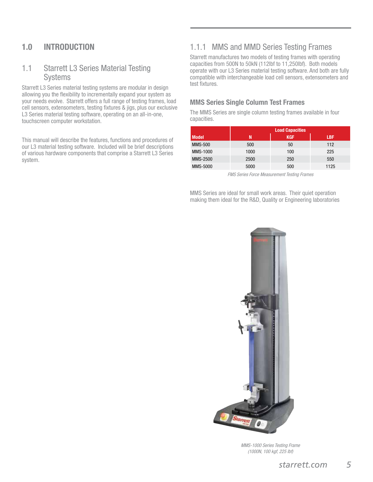# 1.0 INTRODUCTION

# 1.1 Starrett L3 Series Material Testing Systems

Starrett L3 Series material testing systems are modular in design allowing you the flexibility to incrementally expand your system as your needs evolve. Starrett offers a full range of testing frames, load cell sensors, extensometers, testing fixtures & jigs, plus our exclusive L3 Series material testing software, operating on an all-in-one, touchscreen computer workstation.

This manual will describe the features, functions and procedures of our L3 material testing software. Included will be brief descriptions of various hardware components that comprise a Starrett L3 Series system.

# 1.1.1 MMS and MMD Series Testing Frames

Starrett manufactures two models of testing frames with operating capacities from 500N to 50kN (112lbf to 11,250lbf). Both models operate with our L3 Series material testing software. And both are fully compatible with interchangeable load cell sensors, extensometers and test fixtures.

### MMS Series Single Column Test Frames

The MMS Series are single column testing frames available in four capacities.

|                 |      | <b>Load Capacities</b> |            |
|-----------------|------|------------------------|------------|
| <b>Model</b>    | N    | <b>KGF</b>             | <b>LBF</b> |
| <b>MMS-500</b>  | 500  | 50                     | 112        |
| <b>MMS-1000</b> | 1000 | 100                    | 225        |
| MMS-2500        | 2500 | 250                    | 550        |
| <b>MMS-5000</b> | 5000 | 500                    | 1125       |

FMS Series Force Measurement Testing Frames

MMS Series are ideal for small work areas. Their quiet operation making them ideal for the R&D, Quality or Engineering laboratories



MMS-1000 Series Testing Frame (1000N, 100 kgf, 225 lbf)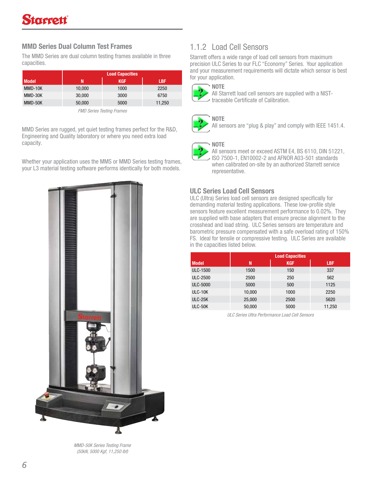# tarrett

# MMD Series Dual Column Test Frames

The MMD Series are dual column testing frames available in three capacities.

|              | <b>Load Capacities</b> |            |            |  |  |
|--------------|------------------------|------------|------------|--|--|
| <b>Model</b> | N                      | <b>KGF</b> | <b>LBF</b> |  |  |
| MMD-10K      | 10,000                 | 1000       | 2250       |  |  |
| MMD-30K      | 30,000                 | 3000       | 6750       |  |  |
| MMD-50K      | 50,000                 | 5000       | 11,250     |  |  |

FMD Series Testing Frames

MMD Series are rugged, yet quiet testing frames perfect for the R&D, Engineering and Quality laboratory or where you need extra load capacity.

Whether your application uses the MMS or MMD Series testing frames, your L3 material testing software performs identically for both models.



MMD-50K Series Testing Frame (50kN, 5000 Kgf, 11,250 lbf)

# 1.1.2 Load Cell Sensors

Starrett offers a wide range of load cell sensors from maximum precision ULC Series to our FLC "Economy" Series. Your application and your measurement requirements will dictate which sensor is best for your application.





All Starrett load cell sensors are supplied with a NISTtraceable Certificate of Calibration.



All sensors are "plug & play" and comply with IEEE 1451.4.

### **NOTE**



All sensors meet or exceed ASTM E4, BS 6110, DIN 51221, ISO 7500-1, EN10002-2 and AFNOR A03-501 standards when calibrated on-site by an authorized Starrett service representative.

# ULC Series Load Cell Sensors

ULC (Ultra) Series load cell sensors are designed specifically for demanding material testing applications. These low-profile style sensors feature excellent measurement performance to 0.02%. They are supplied with base adapters that ensure precise alignment to the crosshead and load string. ULC Series sensors are temperature and barometric pressure compensated with a safe overload rating of 150% FS. Ideal for tensile or compressive testing. ULC Series are available in the capacities listed below.

|                 |        | <b>Load Capacities</b> |            |
|-----------------|--------|------------------------|------------|
| <b>Model</b>    | N      | <b>KGF</b>             | <b>LBF</b> |
| <b>ULC-1500</b> | 1500   | 150                    | 337        |
| ULC-2500        | 2500   | 250                    | 562        |
| <b>ULC-5000</b> | 5000   | 500                    | 1125       |
| ULC-10K         | 10,000 | 1000                   | 2250       |
| ULC-25K         | 25,000 | 2500                   | 5620       |
| ULC-50K         | 50,000 | 5000                   | 11,250     |

ULC Series Ultra Performance Load Cell Sensors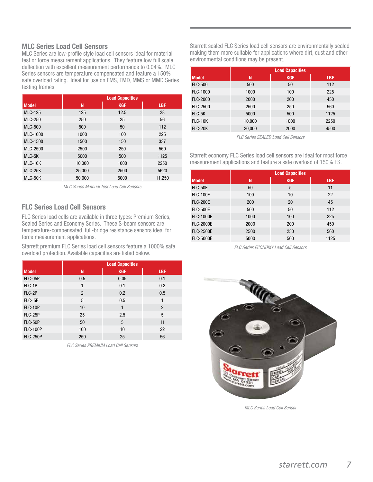#### MLC Series Load Cell Sensors

MLC Series are low-profile style load cell sensors ideal for material test or force measurement applications. They feature low full scale deflection with excellent measurement performance to 0.04%. MLC Series sensors are temperature compensated and feature a 150% safe overload rating. Ideal for use on FMS, FMD, MMS or MMD Series testing frames.

|                |        | <b>Load Capacities</b> |            |
|----------------|--------|------------------------|------------|
| <b>Model</b>   | N      | <b>KGF</b>             | <b>LBF</b> |
| <b>MLC-125</b> | 125    | 12.5                   | 28         |
| <b>MLC-250</b> | 250    | 25                     | 56         |
| <b>MLC-500</b> | 500    | 50                     | 112        |
| MLC-1000       | 1000   | 100                    | 225        |
| MLC-1500       | 1500   | 150                    | 337        |
| MLC-2500       | 2500   | 250                    | 560        |
| MLC-5K         | 5000   | 500                    | 1125       |
| MLC-10K        | 10,000 | 1000                   | 2250       |
| MLC-25K        | 25,000 | 2500                   | 5620       |
| MLC-50K        | 50,000 | 5000                   | 11,250     |

MLC Series Material Test Load Cell Sensors

# FLC Series Load Cell Sensors

FLC Series load cells are available in three types: Premium Series, Sealed Series and Economy Series. These S-beam sensors are temperature-compensated, full-bridge resistance sensors ideal for force measurement applications.

Starrett premium FLC Series load cell sensors feature a 1000% safe overload protection. Available capacities are listed below.

|                 |                | <b>Load Capacities</b> |                |
|-----------------|----------------|------------------------|----------------|
| <b>Model</b>    | N              | <b>KGF</b>             | <b>LBF</b>     |
| FLC-05P         | 0.5            | 0.05                   | 0.1            |
| FLC-1P          | 1              | 0.1                    | 0.2            |
| FLC-2P          | $\overline{2}$ | 0.2                    | 0.5            |
| FLC-5P          | 5              | 0.5                    | 1              |
| <b>FLC-10P</b>  | 10             | 1                      | $\overline{2}$ |
| FLC-25P         | 25             | 2.5                    | 5              |
| FLC-50P         | 50             | 5                      | 11             |
| <b>FLC-100P</b> | 100            | 10                     | 22             |
| <b>FLC-250P</b> | 250            | 25                     | 56             |

FLC Series PREMIUM Load Cell Sensors

Starrett sealed FLC Series load cell sensors are environmentally sealed making them more suitable for applications where dirt, dust and other environmental conditions may be present.

|                 | <b>Load Capacities</b> |            |            |  |
|-----------------|------------------------|------------|------------|--|
| <b>Model</b>    | N                      | <b>KGF</b> | <b>LBF</b> |  |
| <b>FLC-500</b>  | 500                    | 50         | 112        |  |
| FLC-1000        | 1000                   | 100        | 225        |  |
| <b>FLC-2000</b> | 2000                   | 200        | 450        |  |
| <b>FLC-2500</b> | 2500                   | 250        | 560        |  |
| FLC-5K          | 5000                   | 500        | 1125       |  |
| <b>FLC-10K</b>  | 10,000                 | 1000       | 2250       |  |
| <b>FLC-20K</b>  | 20,000                 | 2000       | 4500       |  |

FLC Series SEALED Load Cell Sensors

Starrett economy FLC Series load cell sensors are ideal for most force measurement applications and feature a safe overload of 150% FS.

|                  |      | <b>Load Capacities</b> |            |
|------------------|------|------------------------|------------|
| <b>Model</b>     | N    | <b>KGF</b>             | <b>LBF</b> |
| FLC-50E          | 50   | 5                      | 11         |
| <b>FLC-100E</b>  | 100  | 10                     | 22         |
| <b>FLC-200E</b>  | 200  | 20                     | 45         |
| <b>FLC-500E</b>  | 500  | 50                     | 112        |
| <b>FLC-1000E</b> | 1000 | 100                    | 225        |
| <b>FLC-2000E</b> | 2000 | 200                    | 450        |
| <b>FLC-2500E</b> | 2500 | 250                    | 560        |
| <b>FLC-5000E</b> | 5000 | 500                    | 1125       |

FLC Series ECONOMY Load Cell Sensors



MLC Series Load Cell Sensor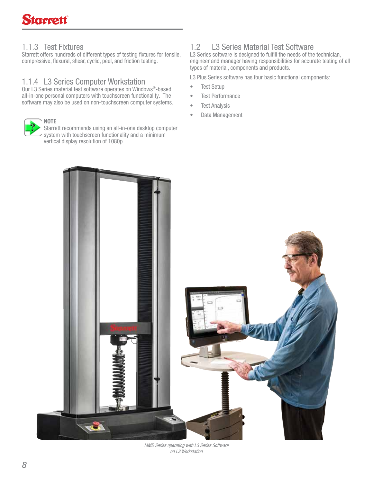# 1.1.3 Test Fixtures

Starrett offers hundreds of different types of testing fixtures for tensile, compressive, flexural, shear, cyclic, peel, and friction testing.

# 1.1.4 L3 Series Computer Workstation

Our L3 Series material test software operates on Windows®-based all-in-one personal computers with touchscreen functionality. The software may also be used on non-touchscreen computer systems.



Starrett recommends using an all-in-one desktop computer system with touchscreen functionality and a minimum vertical display resolution of 1080p.

# 1.2 L3 Series Material Test Software

L3 Series software is designed to fulfill the needs of the technician, engineer and manager having responsibilities for accurate testing of all types of material, components and products.

L3 Plus Series software has four basic functional components:

- Test Setup
- Test Performance
- Test Analysis
- Data Management



MMD Series operating with L3 Series Software on L3 Workstation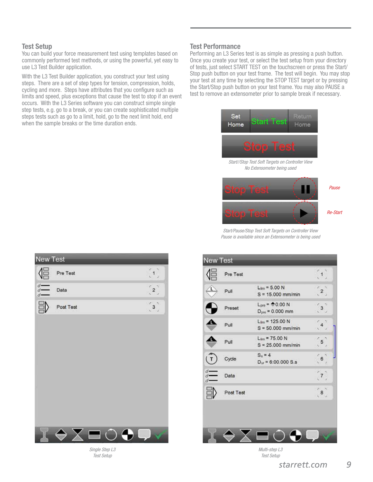#### Test Setup

N

You can build your force measurement test using templates based on commonly performed test methods, or using the powerful, yet easy to use L3 Test Builder application.

With the L3 Test Builder application, you construct your test using steps. There are a set of step types for tension, compression, holds, cycling and more. Steps have attributes that you configure such as limits and speed, plus exceptions that cause the test to stop if an event occurs. With the L3 Series software you can construct simple single step tests, e.g. go to a break, or you can create sophisticated multiple steps tests such as go to a limit, hold, go to the next limit hold, end when the sample breaks or the time duration ends.

#### Test Performance

Performing an L3 Series test is as simple as pressing a push button. Once you create your test, or select the test setup from your directory of tests, just select START TEST on the touchscreen or press the Start/ Stop push button on your test frame. The test will begin. You may stop your test at any time by selecting the STOP TEST target or by pressing the Start/Stop push button on your test frame. You may also PAUSE a test to remove an extensometer prior to sample break if necessary.



Start//Stop Test Soft Targets on Controller View No Extensometer being used



Start/Pause/Stop Test Soft Targets on Controller View Pause is available since an Extensometer is being used

| New Test                                   |           |           |  |                |  |
|--------------------------------------------|-----------|-----------|--|----------------|--|
| $\sqrt{\frac{1}{2}}$                       | Pre Test  |           |  | $\tilde{A}$    |  |
| $\overline{d}$ Data<br>$\overline{d}$ Data |           |           |  | $\mathbf{r}_2$ |  |
|                                            | Post Test |           |  | $\mathbf{r}$   |  |
|                                            |           |           |  |                |  |
|                                            |           |           |  |                |  |
|                                            |           |           |  |                |  |
|                                            |           |           |  |                |  |
|                                            |           |           |  |                |  |
|                                            |           |           |  |                |  |
|                                            |           | $\subset$ |  |                |  |
|                                            |           |           |  |                |  |

Single Step L3 Test Setup



Multi-step L3 Test Setup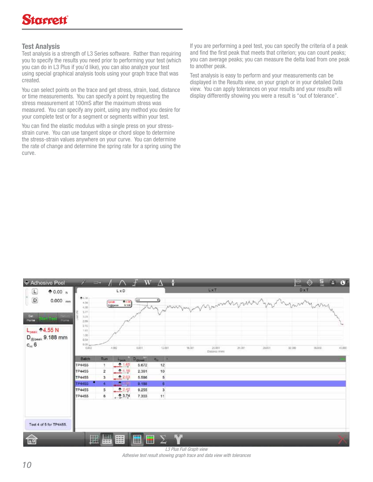# Test Analysis

Test analysis is a strength of L3 Series software. Rather than requiring you to specify the results you need prior to performing your test (which you can do in L3 Plus if you'd like), you can also analyze your test using special graphical analysis tools using your graph trace that was created.

You can select points on the trace and get stress, strain, load, distance or time measurements. You can specify a point by requesting the stress measurement at 100mS after the maximum stress was measured. You can specify any point, using any method you desire for your complete test or for a segment or segments within your test.

You can find the elastic modulus with a single press on your stressstrain curve. You can use tangent slope or chord slope to determine the stress-strain values anywhere on your curve. You can determine the rate of change and determine the spring rate for a spring using the curve.

If you are performing a peel test, you can specify the criteria of a peak and find the first peak that meets that criterion; you can count peaks; you can average peaks; you can measure the delta load from one peak to another peak.

Test analysis is easy to perform and your measurements can be displayed in the Results view, on your graph or in your detailed Data view. You can apply tolerances on your results and your results will display differently showing you were a result is "out of tolerance".

| $\Box$<br>$\mathsf D$<br>$0.000$ mm                        | 05.38                                               |                | $L \times D$                           |                   |                             |              | <b>LXT</b>                    |       |        | DxT.   | $\overline{\phantom{a}}$ |        |
|------------------------------------------------------------|-----------------------------------------------------|----------------|----------------------------------------|-------------------|-----------------------------|--------------|-------------------------------|-------|--------|--------|--------------------------|--------|
| Set.<br>Stort Test ways<br>Home<br>$L_{\rm peak} = 4.55 N$ | 6.06<br>4.10<br>3.77<br>2.79<br>2.08<br>2.15<br>181 |                | $0.135$<br>9.100<br>Lippak<br>Digipena | (ot               | ⊙                           |              | Marmy Myrine                  |       |        |        |                          |        |
| $D_{\text{gipesk}}$ 9.188 mm<br>$c_n$ 6                    | 1.08<br>0.54<br>n.or.<br>0,002<br>Batch             | Run:           | 4.001                                  | 8,001<br>Designal | 12,001<br>T E               | 16,001<br>ww | 20301<br><b>Distance (mm)</b> | 24:00 | 28,011 | 32,000 | 36,000<br>88 C.S         | 45,000 |
|                                                            | TP4455                                              |                | 2 1.65                                 | 5,672             | $c_{ij}$<br>12 <sub>2</sub> |              |                               |       |        |        |                          |        |
|                                                            | TP4455                                              | $\overline{2}$ | 0.4, 16                                | 2,361             | 10                          |              |                               |       |        |        |                          |        |
|                                                            | TP4455                                              | 3              | 2.03                                   | 5.586             |                             |              |                               |       |        |        |                          |        |
|                                                            | ٠<br>TP4455                                         | w.             | ۵                                      | 9.188             | 5<br>6                      |              |                               |       |        |        |                          |        |
|                                                            | <b>TP4455</b>                                       | 5              | 2.42                                   | 9.255             | $\overline{\mathbf{3}}$     |              |                               |       |        |        |                          |        |
|                                                            | <b>TP4455</b>                                       | 8              | , 25.74                                | 7.303             | 11                          |              |                               |       |        |        |                          |        |

L3 Plus Full Graph view Adhesive test result showing graph trace and data view with tolerances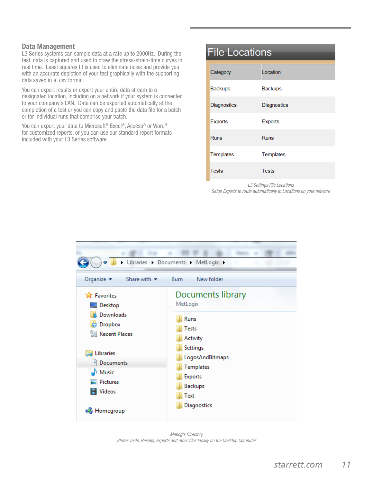#### Data Management

L3 Series systems can sample data at a rate up to 2000Hz. During the test, data is captured and used to draw the stress-strain-time curves in real time. Least squares fit is used to eliminate noise and provide you with an accurate depiction of your test graphically with the supporting data saved in a .csv format.

You can export results or export your entire data stream to a designated location, including on a network if your system is connected to your company's LAN. Data can be exported automatically at the completion of a test or you can copy and paste the data file for a batch or for individual runs that comprise your batch.

You can export your data to Microsoft<sup>®</sup> Excel<sup>®</sup>, Access<sup>®</sup> or Word<sup>®</sup> for customized reports, or you can use our standard report formats included with your L3 Series software.

# **File Locations** Location Category Backups **Backups** Diagnostics **Diagnostics** Exports **Exports** Runs **Runs** Templates Templates Tests **Tests**

L3 Settings File Locations Setup Exports to route automatically to Locations on your network



Metlogix Directory Stores Tests, Results, Exports and other files locally on the Desktop Computer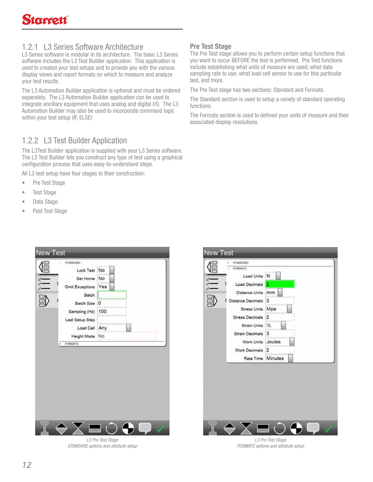# 1.2.1 L3 Series Software Architecture

L3 Series software is modular in its architecture. The basic L3 Series software includes the L3 Test Builder application. This application is used to created your test setups and to provide you with the various display views and report formats on which to measure and analyze your test results.

The L3 Automation Builder application is optional and must be ordered separately. The L3 Automation Builder application can be used to integrate ancillary equipment that uses analog and digital I/O. The L3 Automation Builder may also be used to incorporate command logic within your test setup (IF, ELSE)

# 1.2.2 L3 Test Builder Application

The L3Test Builder application is supplied with your L3 Series software. The L3 Test Builder lets you construct any type of test using a graphical configuration process that uses easy-to-understand steps.

All L3 test setup have four stages to their construction:

- Pre Test Stage
- Test Stage
- Data Stage
- Post Test Stage



L3 Pre Test Stage STANDARD options and attribute setup

# Pre Test Stage

The Pre Test stage allows you to perform certain setup functions that you want to occur BEFORE the test is performed. Pre Test functions include establishing what units of measure are used; what data sampling rate to use; what load cell sensor to use for this particular test, and more.

The Pre Test stage has two sections: Standard and Formats.

The Standard section is used to setup a variety of standard operating functions.

The Formats section is used to defined your units of measure and their associated display resolutions.



L3 Pre Test Stage FORMATS options and attribute setup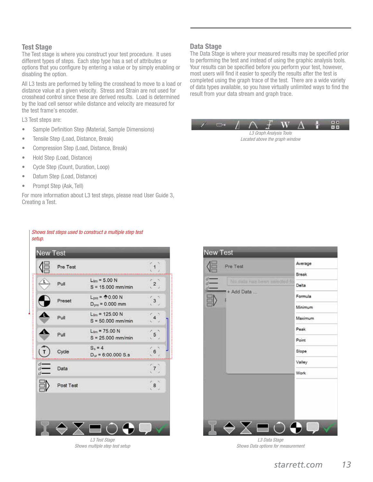#### Test Stage

The Test stage is where you construct your test procedure. It uses different types of steps. Each step type has a set of attributes or options that you configure by entering a value or by simply enabling or disabling the option.

All L3 tests are performed by telling the crosshead to move to a load or distance value at a given velocity. Stress and Strain are not used for crosshead control since these are derived results. Load is determined by the load cell sensor while distance and velocity are measured for the test frame's encoder.

L3 Test steps are:

- Sample Definition Step (Material, Sample Dimensions)
- Tensile Step (Load, Distance, Break)
- Compression Step (Load, Distance, Break)
- Hold Step (Load, Distance)
- Cycle Step (Count, Duration, Loop)
- Datum Step (Load, Distance)
- Prompt Step (Ask, Tell)

setup.

For more information about L3 test steps, please read User Guide 3, Creating a Test.

Shows test steps used to construct a multiple step test

#### Data Stage

The Data Stage is where your measured results may be specified prior to performing the test and instead of using the graphic analysis tools. Your results can be specified before you perform your test, however, most users will find it easier to specify the results after the test is completed using the graph trace of the test. There are a wide variety of data types available, so you have virtually unlimited ways to find the result from your data stream and graph trace.

L3 Graph Analysis Tools Located above the graph window

|                     | Pre Test  |                                             |                          |
|---------------------|-----------|---------------------------------------------|--------------------------|
|                     | Pull      | $L_{lim}$ = 5.00 N<br>$S = 15.000$ mm/min   |                          |
|                     | Preset    | $L_{pre} = 0.00 N$<br>$D_{pre} = 0.000$ mm  | з                        |
| Δ                   | Pull      | $L_{lim}$ = 125.00 N<br>$S = 50.000$ mm/min |                          |
| Δ                   | Pull      | $L_{lim}$ = 75.00 N<br>$S = 25.000$ mm/min  | $\overline{\phantom{a}}$ |
|                     | Cycle     | $S_s = 4$<br>$D_{ur}$ = 6:00.000 S.s.       |                          |
| $d -$<br>ď<br>$d$ - | Data      |                                             |                          |
|                     | Post Test |                                             | 8                        |
|                     |           |                                             |                          |

L3 Test Stage Shows multiple step test setup



L3 Data Stage Shows Data options for measurement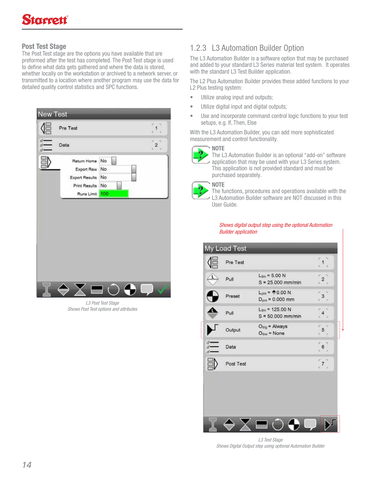# Post Test Stage

The Post Test stage are the options you have available that are preformed after the test has completed. The Post Test stage is used to define what data gets gathered and where the data is stored, whether locally on the workstation or archived to a network server, or transmitted to a location where another program may use the data for detailed quality control statistics and SPC functions.



L3 Post Test Stage Shows Post Test options and attributes

# 1.2.3 L3 Automation Builder Option

The L3 Automation Builder is a software option that may be purchased and added to your standard L3 Series material test system. It operates with the standard L3 Test Builder application.

The L2 Plus Automation Builder provides these added functions to your L2 Plus testing system:

- Utilize analog input and outputs;
- Utilize digital input and digital outputs;
- Use and incorporate command control logic functions to your test setups, e.g. If, Then, Else

With the L3 Automation Builder, you can add more sophisticated measurement and control functionality.



The L3 Automation Builder is an optional "add-on" software application that may be used with your L3 Series system. This application is not provided standard and must be purchased separately.



#### **NOTE**

The functions, procedures and operations available with the L3 Automation Builder software are NOT discussed in this User Guide.

Shows digital output step using the optional Automation Builder application

|            | Pre Test  |                                              |  |
|------------|-----------|----------------------------------------------|--|
|            | Pull      | $L_{lim}$ = 5.00 N<br>$S = 25.000$ mm/min    |  |
|            | Preset    | $L_{pre} = 0.00 N$<br>$D_{pre} = 0.000$ mm   |  |
|            | Pull      | $L_{lim}$ = 125.00 N<br>$S = 50.000$ mm/min  |  |
|            | Output    | $O_{\text{trig}}$ = Always<br>$Oline = None$ |  |
| $d-$<br>d. | Data      |                                              |  |
|            | Post Test |                                              |  |

L3 Test Stage Shows Digital Output step using optional Automation Builder